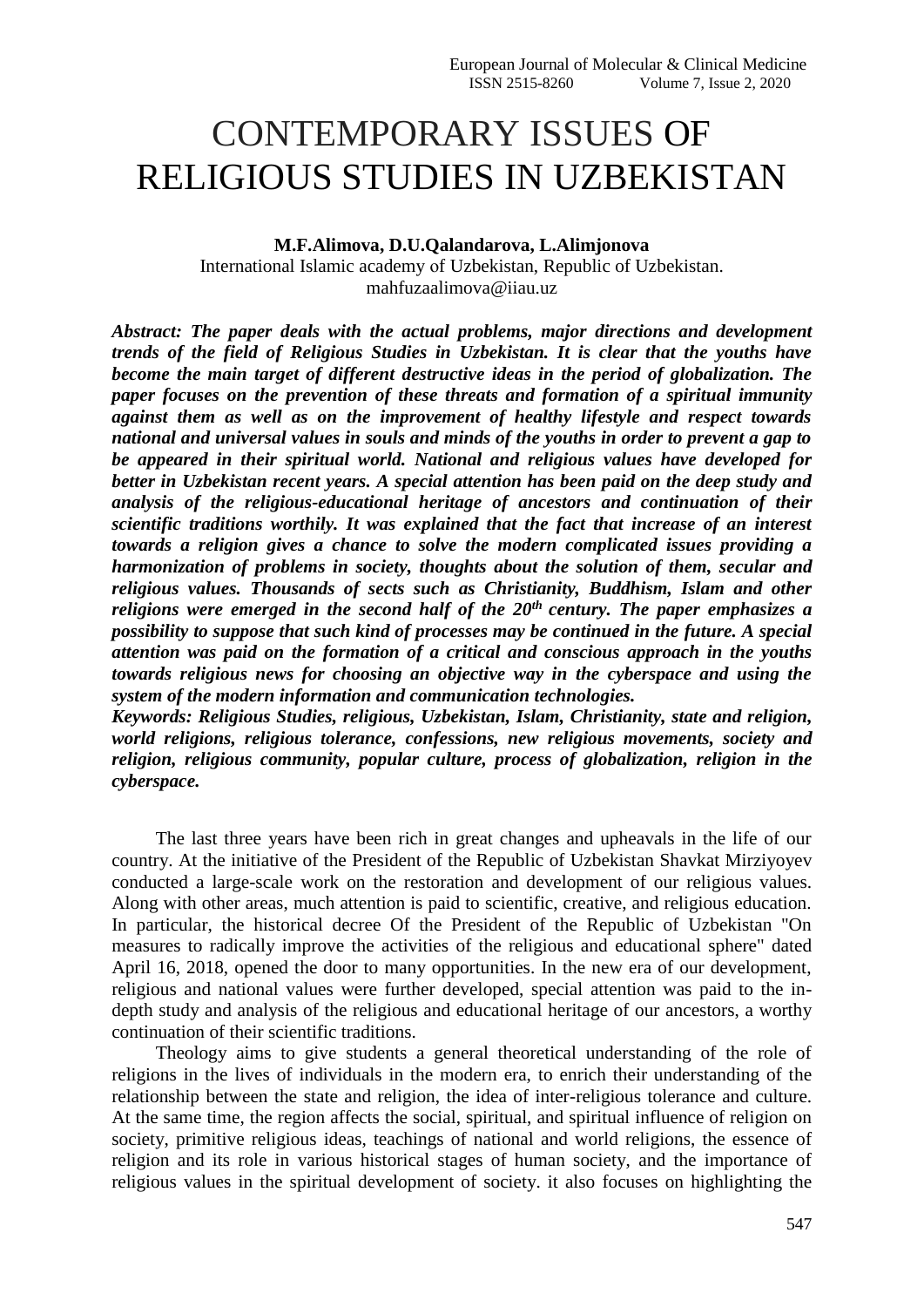## CONTEMPORARY ISSUES OF RELIGIOUS STUDIES IN UZBEKISTAN

**M.F.Alimova, D.U.Qalandarova, L.Alimjonova** International Islamic academy оf Uzbekistan, Republic of Uzbekistan. mahfuzaalimova@iiau.uz

*Abstract: The paper deals with the actual problems, major directions and development trends of the field of Religious Studies in Uzbekistan. It is clear that the youths have become the main target of different destructive ideas in the period of globalization. The paper focuses on the prevention of these threats and formation of a spiritual immunity against them as well as on the improvement of healthy lifestyle and respect towards national and universal values in souls and minds of the youths in order to prevent a gap to be appeared in their spiritual world. National and religious values have developed for better in Uzbekistan recent years. A special attention has been paid on the deep study and analysis of the religious-educational heritage of ancestors and continuation of their scientific traditions worthily. It was explained that the fact that increase of an interest towards a religion gives a chance to solve the modern complicated issues providing a harmonization of problems in society, thoughts about the solution of them, secular and religious values. Thousands of sects such as Christianity, Buddhism, Islam and other religions were emerged in the second half of the 20th century. The paper emphasizes a possibility to suppose that such kind of processes may be continued in the future. A special attention was paid on the formation of a critical and conscious approach in the youths towards religious news for choosing an objective way in the cyberspace and using the system of the modern information and communication technologies.* 

*Keywords: Religious Studies, religious, Uzbekistan, Islam, Christianity, state and religion, world religions, religious tolerance, confessions, new religious movements, society and religion, religious community, popular culture, process of globalization, religion in the cyberspace.*

The last three years have been rich in great changes and upheavals in the life of our country. At the initiative of the President of the Republic of Uzbekistan Shavkat Mirziyoyev conducted a large-scale work on the restoration and development of our religious values. Along with other areas, much attention is paid to scientific, creative, and religious education. In particular, the historical decree Of the President of the Republic of Uzbekistan "On measures to radically improve the activities of the religious and educational sphere" dated April 16, 2018, opened the door to many opportunities. In the new era of our development, religious and national values were further developed, special attention was paid to the indepth study and analysis of the religious and educational heritage of our ancestors, a worthy continuation of their scientific traditions.

Theology aims to give students a general theoretical understanding of the role of religions in the lives of individuals in the modern era, to enrich their understanding of the relationship between the state and religion, the idea of inter-religious tolerance and culture. At the same time, the region affects the social, spiritual, and spiritual influence of religion on society, primitive religious ideas, teachings of national and world religions, the essence of religion and its role in various historical stages of human society, and the importance of religious values in the spiritual development of society. it also focuses on highlighting the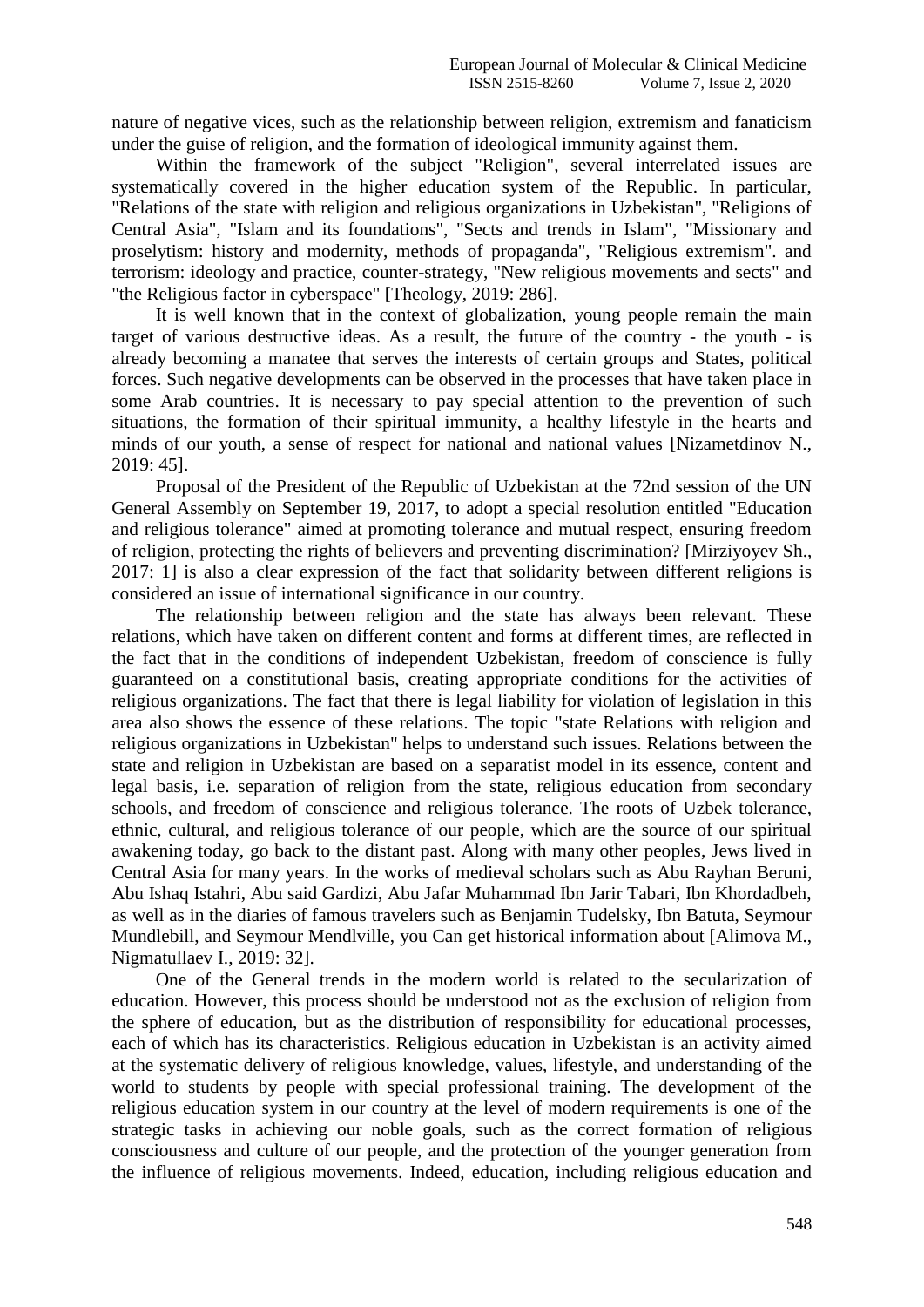nature of negative vices, such as the relationship between religion, extremism and fanaticism under the guise of religion, and the formation of ideological immunity against them.

Within the framework of the subject "Religion", several interrelated issues are systematically covered in the higher education system of the Republic. In particular, "Relations of the state with religion and religious organizations in Uzbekistan", "Religions of Central Asia", "Islam and its foundations", "Sects and trends in Islam", "Missionary and proselytism: history and modernity, methods of propaganda", "Religious extremism". and terrorism: ideology and practice, counter-strategy, "New religious movements and sects" and "the Religious factor in cyberspace" [Theology, 2019: 286].

It is well known that in the context of globalization, young people remain the main target of various destructive ideas. As a result, the future of the country - the youth - is already becoming a manatee that serves the interests of certain groups and States, political forces. Such negative developments can be observed in the processes that have taken place in some Arab countries. It is necessary to pay special attention to the prevention of such situations, the formation of their spiritual immunity, a healthy lifestyle in the hearts and minds of our youth, a sense of respect for national and national values [Nizametdinov N., 2019: 45].

Proposal of the President of the Republic of Uzbekistan at the 72nd session of the UN General Assembly on September 19, 2017, to adopt a special resolution entitled "Education and religious tolerance" aimed at promoting tolerance and mutual respect, ensuring freedom of religion, protecting the rights of believers and preventing discrimination? [Mirziyoyev Sh., 2017: 1] is also a clear expression of the fact that solidarity between different religions is considered an issue of international significance in our country.

The relationship between religion and the state has always been relevant. These relations, which have taken on different content and forms at different times, are reflected in the fact that in the conditions of independent Uzbekistan, freedom of conscience is fully guaranteed on a constitutional basis, creating appropriate conditions for the activities of religious organizations. The fact that there is legal liability for violation of legislation in this area also shows the essence of these relations. The topic "state Relations with religion and religious organizations in Uzbekistan" helps to understand such issues. Relations between the state and religion in Uzbekistan are based on a separatist model in its essence, content and legal basis, i.e. separation of religion from the state, religious education from secondary schools, and freedom of conscience and religious tolerance. The roots of Uzbek tolerance, ethnic, cultural, and religious tolerance of our people, which are the source of our spiritual awakening today, go back to the distant past. Along with many other peoples, Jews lived in Central Asia for many years. In the works of medieval scholars such as Abu Rayhan Beruni, Abu Ishaq Istahri, Abu said Gardizi, Abu Jafar Muhammad Ibn Jarir Tabari, Ibn Khordadbeh, as well as in the diaries of famous travelers such as Benjamin Tudelsky, Ibn Batuta, Seymour Mundlebill, and Seymour Mendlville, you Can get historical information about [Alimova M., Nigmatullaev I., 2019: 32].

One of the General trends in the modern world is related to the secularization of education. However, this process should be understood not as the exclusion of religion from the sphere of education, but as the distribution of responsibility for educational processes, each of which has its characteristics. Religious education in Uzbekistan is an activity aimed at the systematic delivery of religious knowledge, values, lifestyle, and understanding of the world to students by people with special professional training. The development of the religious education system in our country at the level of modern requirements is one of the strategic tasks in achieving our noble goals, such as the correct formation of religious consciousness and culture of our people, and the protection of the younger generation from the influence of religious movements. Indeed, education, including religious education and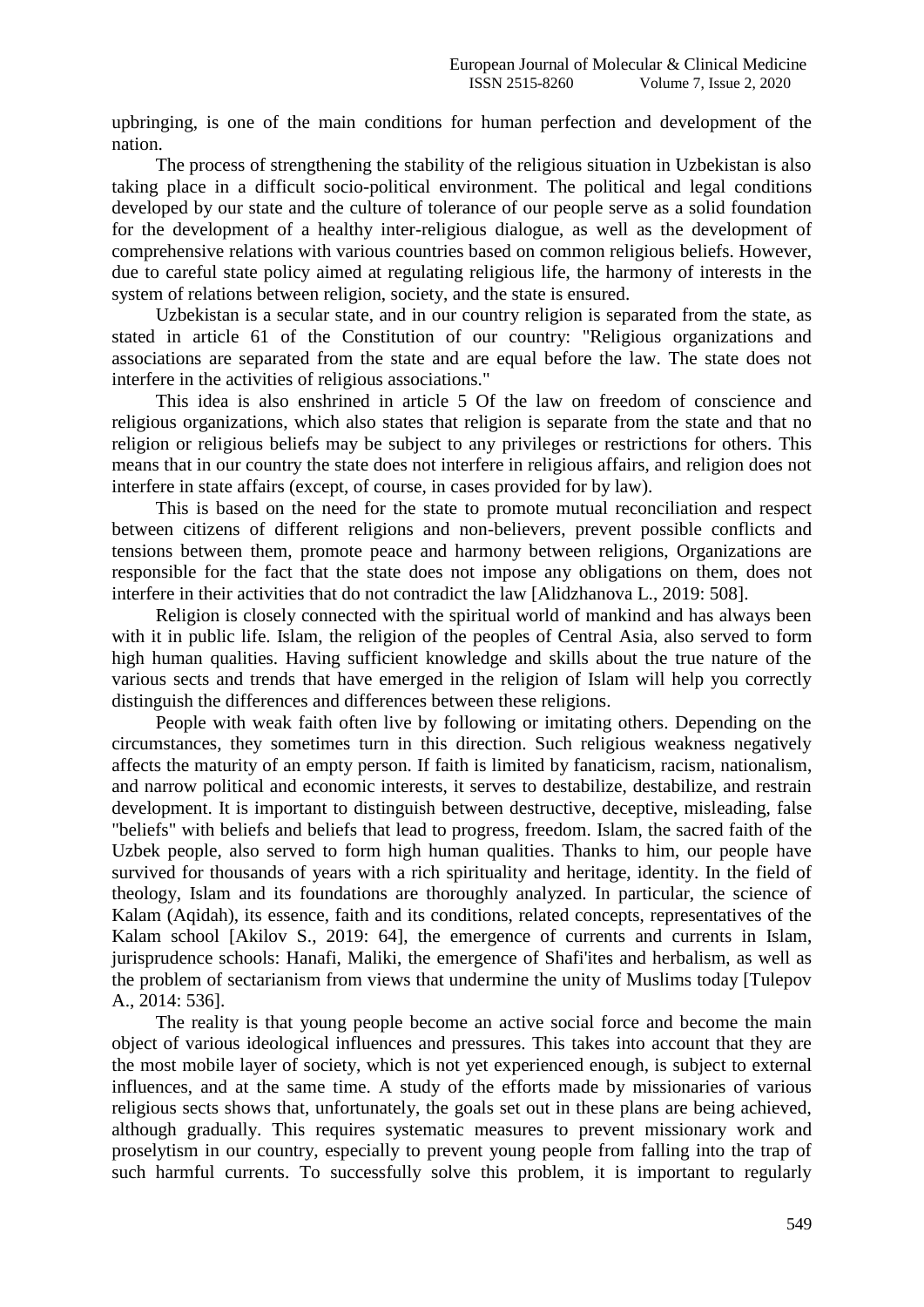upbringing, is one of the main conditions for human perfection and development of the nation.

The process of strengthening the stability of the religious situation in Uzbekistan is also taking place in a difficult socio-political environment. The political and legal conditions developed by our state and the culture of tolerance of our people serve as a solid foundation for the development of a healthy inter-religious dialogue, as well as the development of comprehensive relations with various countries based on common religious beliefs. However, due to careful state policy aimed at regulating religious life, the harmony of interests in the system of relations between religion, society, and the state is ensured.

Uzbekistan is a secular state, and in our country religion is separated from the state, as stated in article 61 of the Constitution of our country: "Religious organizations and associations are separated from the state and are equal before the law. The state does not interfere in the activities of religious associations."

This idea is also enshrined in article 5 Of the law on freedom of conscience and religious organizations, which also states that religion is separate from the state and that no religion or religious beliefs may be subject to any privileges or restrictions for others. This means that in our country the state does not interfere in religious affairs, and religion does not interfere in state affairs (except, of course, in cases provided for by law).

This is based on the need for the state to promote mutual reconciliation and respect between citizens of different religions and non-believers, prevent possible conflicts and tensions between them, promote peace and harmony between religions, Organizations are responsible for the fact that the state does not impose any obligations on them, does not interfere in their activities that do not contradict the law [Alidzhanova L., 2019: 508].

Religion is closely connected with the spiritual world of mankind and has always been with it in public life. Islam, the religion of the peoples of Central Asia, also served to form high human qualities. Having sufficient knowledge and skills about the true nature of the various sects and trends that have emerged in the religion of Islam will help you correctly distinguish the differences and differences between these religions.

People with weak faith often live by following or imitating others. Depending on the circumstances, they sometimes turn in this direction. Such religious weakness negatively affects the maturity of an empty person. If faith is limited by fanaticism, racism, nationalism, and narrow political and economic interests, it serves to destabilize, destabilize, and restrain development. It is important to distinguish between destructive, deceptive, misleading, false "beliefs" with beliefs and beliefs that lead to progress, freedom. Islam, the sacred faith of the Uzbek people, also served to form high human qualities. Thanks to him, our people have survived for thousands of years with a rich spirituality and heritage, identity. In the field of theology, Islam and its foundations are thoroughly analyzed. In particular, the science of Kalam (Aqidah), its essence, faith and its conditions, related concepts, representatives of the Kalam school [Akilov S., 2019: 64], the emergence of currents and currents in Islam, jurisprudence schools: Hanafi, Maliki, the emergence of Shafi'ites and herbalism, as well as the problem of sectarianism from views that undermine the unity of Muslims today [Tulepov A., 2014: 536].

The reality is that young people become an active social force and become the main object of various ideological influences and pressures. This takes into account that they are the most mobile layer of society, which is not yet experienced enough, is subject to external influences, and at the same time. A study of the efforts made by missionaries of various religious sects shows that, unfortunately, the goals set out in these plans are being achieved, although gradually. This requires systematic measures to prevent missionary work and proselytism in our country, especially to prevent young people from falling into the trap of such harmful currents. To successfully solve this problem, it is important to regularly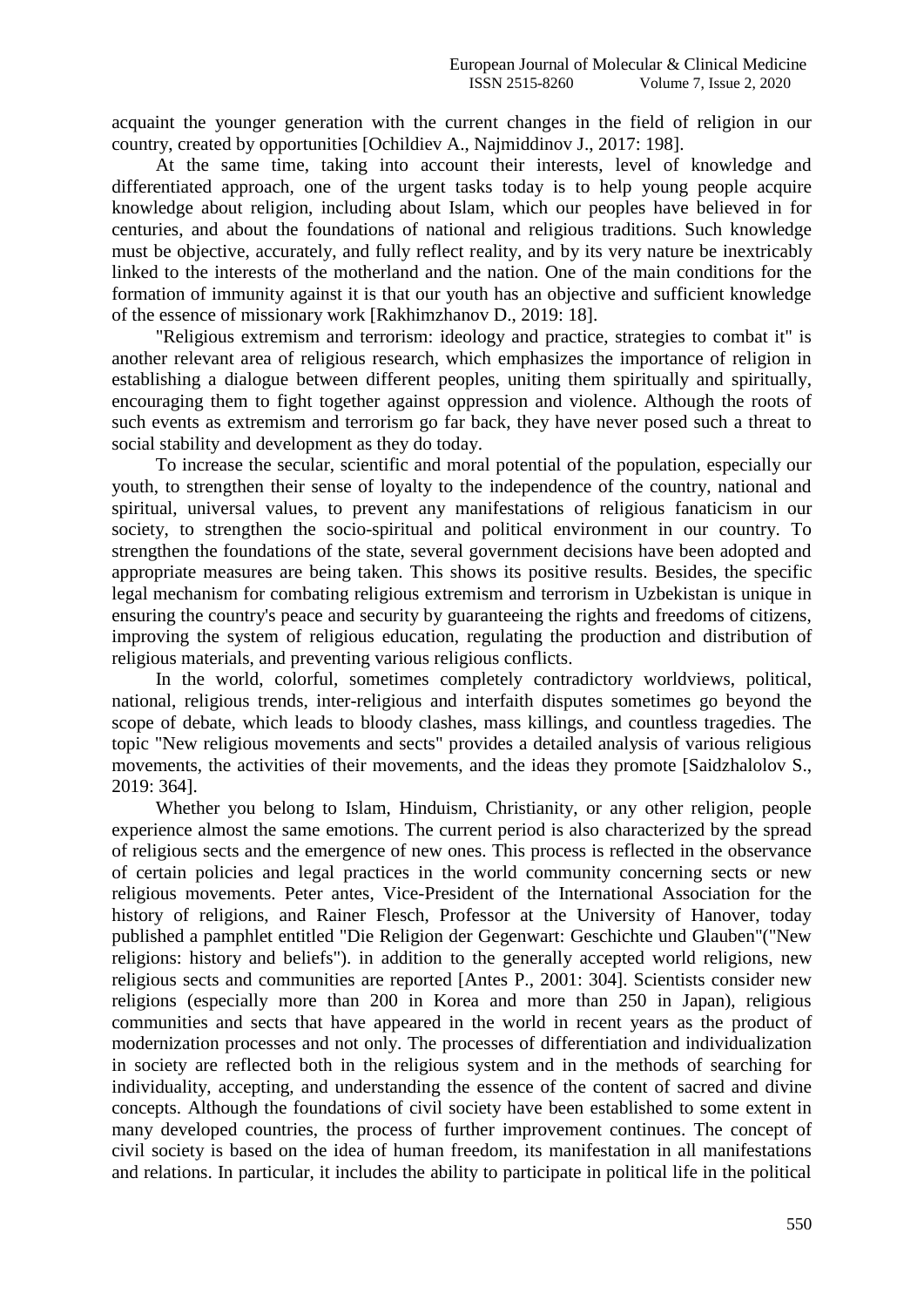acquaint the younger generation with the current changes in the field of religion in our country, created by opportunities [Ochildiev A., Najmiddinov J., 2017: 198].

At the same time, taking into account their interests, level of knowledge and differentiated approach, one of the urgent tasks today is to help young people acquire knowledge about religion, including about Islam, which our peoples have believed in for centuries, and about the foundations of national and religious traditions. Such knowledge must be objective, accurately, and fully reflect reality, and by its very nature be inextricably linked to the interests of the motherland and the nation. One of the main conditions for the formation of immunity against it is that our youth has an objective and sufficient knowledge of the essence of missionary work [Rakhimzhanov D., 2019: 18].

"Religious extremism and terrorism: ideology and practice, strategies to combat it" is another relevant area of religious research, which emphasizes the importance of religion in establishing a dialogue between different peoples, uniting them spiritually and spiritually, encouraging them to fight together against oppression and violence. Although the roots of such events as extremism and terrorism go far back, they have never posed such a threat to social stability and development as they do today.

To increase the secular, scientific and moral potential of the population, especially our youth, to strengthen their sense of loyalty to the independence of the country, national and spiritual, universal values, to prevent any manifestations of religious fanaticism in our society, to strengthen the socio-spiritual and political environment in our country. To strengthen the foundations of the state, several government decisions have been adopted and appropriate measures are being taken. This shows its positive results. Besides, the specific legal mechanism for combating religious extremism and terrorism in Uzbekistan is unique in ensuring the country's peace and security by guaranteeing the rights and freedoms of citizens, improving the system of religious education, regulating the production and distribution of religious materials, and preventing various religious conflicts.

In the world, colorful, sometimes completely contradictory worldviews, political, national, religious trends, inter-religious and interfaith disputes sometimes go beyond the scope of debate, which leads to bloody clashes, mass killings, and countless tragedies. The topic "New religious movements and sects" provides a detailed analysis of various religious movements, the activities of their movements, and the ideas they promote [Saidzhalolov S., 2019: 364].

Whether you belong to Islam, Hinduism, Christianity, or any other religion, people experience almost the same emotions. The current period is also characterized by the spread of religious sects and the emergence of new ones. This process is reflected in the observance of certain policies and legal practices in the world community concerning sects or new religious movements. Peter antes, Vice-President of the International Association for the history of religions, and Rainer Flesch, Professor at the University of Hanover, today published a pamphlet entitled "Die Religion der Gegenwart: Geschichte und Glauben"("New religions: history and beliefs"). in addition to the generally accepted world religions, new religious sects and communities are reported [Antes P., 2001: 304]. Scientists consider new religions (especially more than 200 in Korea and more than 250 in Japan), religious communities and sects that have appeared in the world in recent years as the product of modernization processes and not only. The processes of differentiation and individualization in society are reflected both in the religious system and in the methods of searching for individuality, accepting, and understanding the essence of the content of sacred and divine concepts. Although the foundations of civil society have been established to some extent in many developed countries, the process of further improvement continues. The concept of civil society is based on the idea of human freedom, its manifestation in all manifestations and relations. In particular, it includes the ability to participate in political life in the political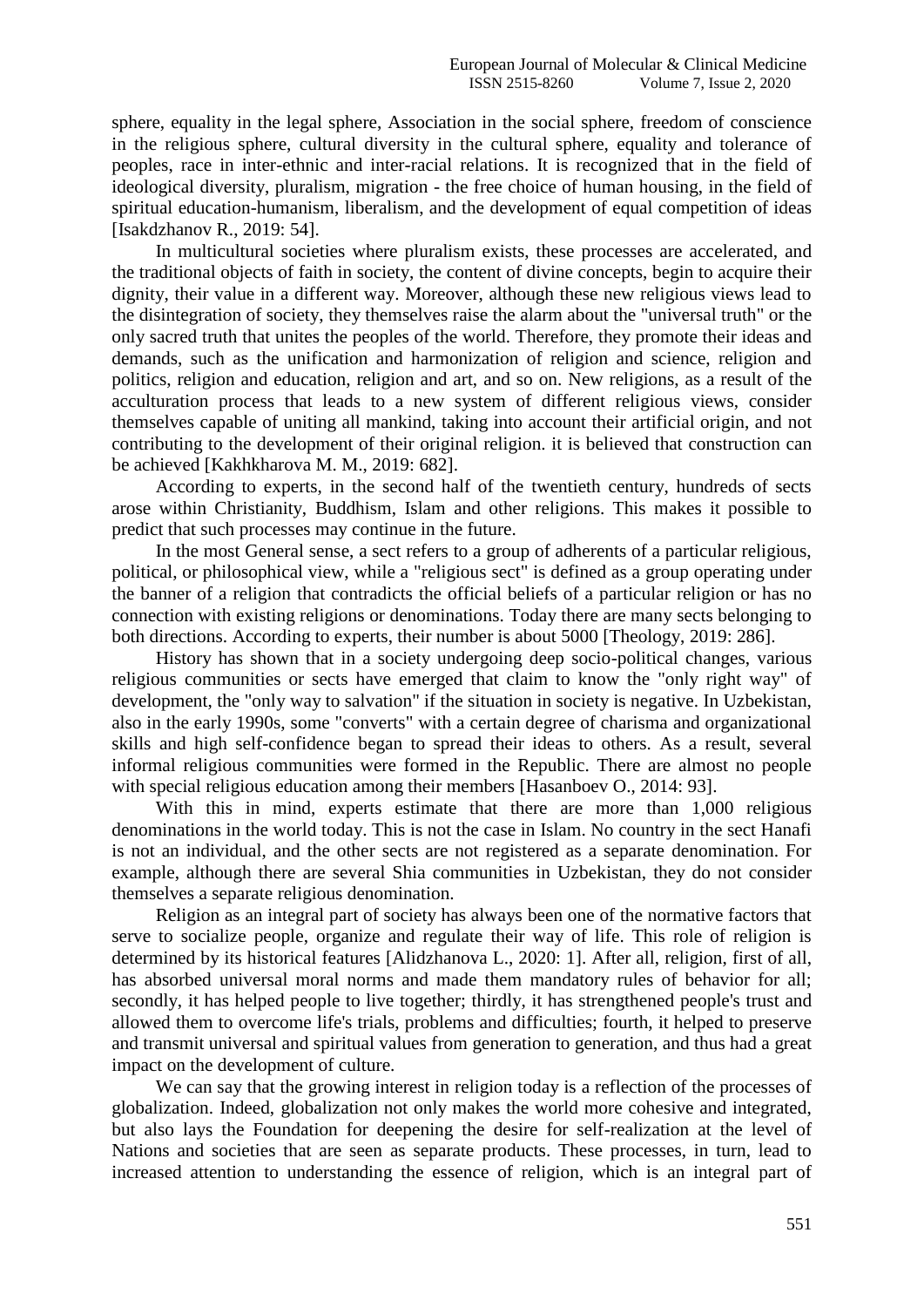sphere, equality in the legal sphere, Association in the social sphere, freedom of conscience in the religious sphere, cultural diversity in the cultural sphere, equality and tolerance of peoples, race in inter-ethnic and inter-racial relations. It is recognized that in the field of ideological diversity, pluralism, migration - the free choice of human housing, in the field of spiritual education-humanism, liberalism, and the development of equal competition of ideas [Isakdzhanov R., 2019: 54].

In multicultural societies where pluralism exists, these processes are accelerated, and the traditional objects of faith in society, the content of divine concepts, begin to acquire their dignity, their value in a different way. Moreover, although these new religious views lead to the disintegration of society, they themselves raise the alarm about the "universal truth" or the only sacred truth that unites the peoples of the world. Therefore, they promote their ideas and demands, such as the unification and harmonization of religion and science, religion and politics, religion and education, religion and art, and so on. New religions, as a result of the acculturation process that leads to a new system of different religious views, consider themselves capable of uniting all mankind, taking into account their artificial origin, and not contributing to the development of their original religion. it is believed that construction can be achieved [Kakhkharova M. M., 2019: 682].

According to experts, in the second half of the twentieth century, hundreds of sects arose within Christianity, Buddhism, Islam and other religions. This makes it possible to predict that such processes may continue in the future.

In the most General sense, a sect refers to a group of adherents of a particular religious, political, or philosophical view, while a "religious sect" is defined as a group operating under the banner of a religion that contradicts the official beliefs of a particular religion or has no connection with existing religions or denominations. Today there are many sects belonging to both directions. According to experts, their number is about 5000 [Theology, 2019: 286].

History has shown that in a society undergoing deep socio-political changes, various religious communities or sects have emerged that claim to know the "only right way" of development, the "only way to salvation" if the situation in society is negative. In Uzbekistan, also in the early 1990s, some "converts" with a certain degree of charisma and organizational skills and high self-confidence began to spread their ideas to others. As a result, several informal religious communities were formed in the Republic. There are almost no people with special religious education among their members [Hasanboev O., 2014: 93].

With this in mind, experts estimate that there are more than 1,000 religious denominations in the world today. This is not the case in Islam. No country in the sect Hanafi is not an individual, and the other sects are not registered as a separate denomination. For example, although there are several Shia communities in Uzbekistan, they do not consider themselves a separate religious denomination.

Religion as an integral part of society has always been one of the normative factors that serve to socialize people, organize and regulate their way of life. This role of religion is determined by its historical features [Alidzhanova L., 2020: 1]. After all, religion, first of all, has absorbed universal moral norms and made them mandatory rules of behavior for all; secondly, it has helped people to live together; thirdly, it has strengthened people's trust and allowed them to overcome life's trials, problems and difficulties; fourth, it helped to preserve and transmit universal and spiritual values from generation to generation, and thus had a great impact on the development of culture.

We can say that the growing interest in religion today is a reflection of the processes of globalization. Indeed, globalization not only makes the world more cohesive and integrated, but also lays the Foundation for deepening the desire for self-realization at the level of Nations and societies that are seen as separate products. These processes, in turn, lead to increased attention to understanding the essence of religion, which is an integral part of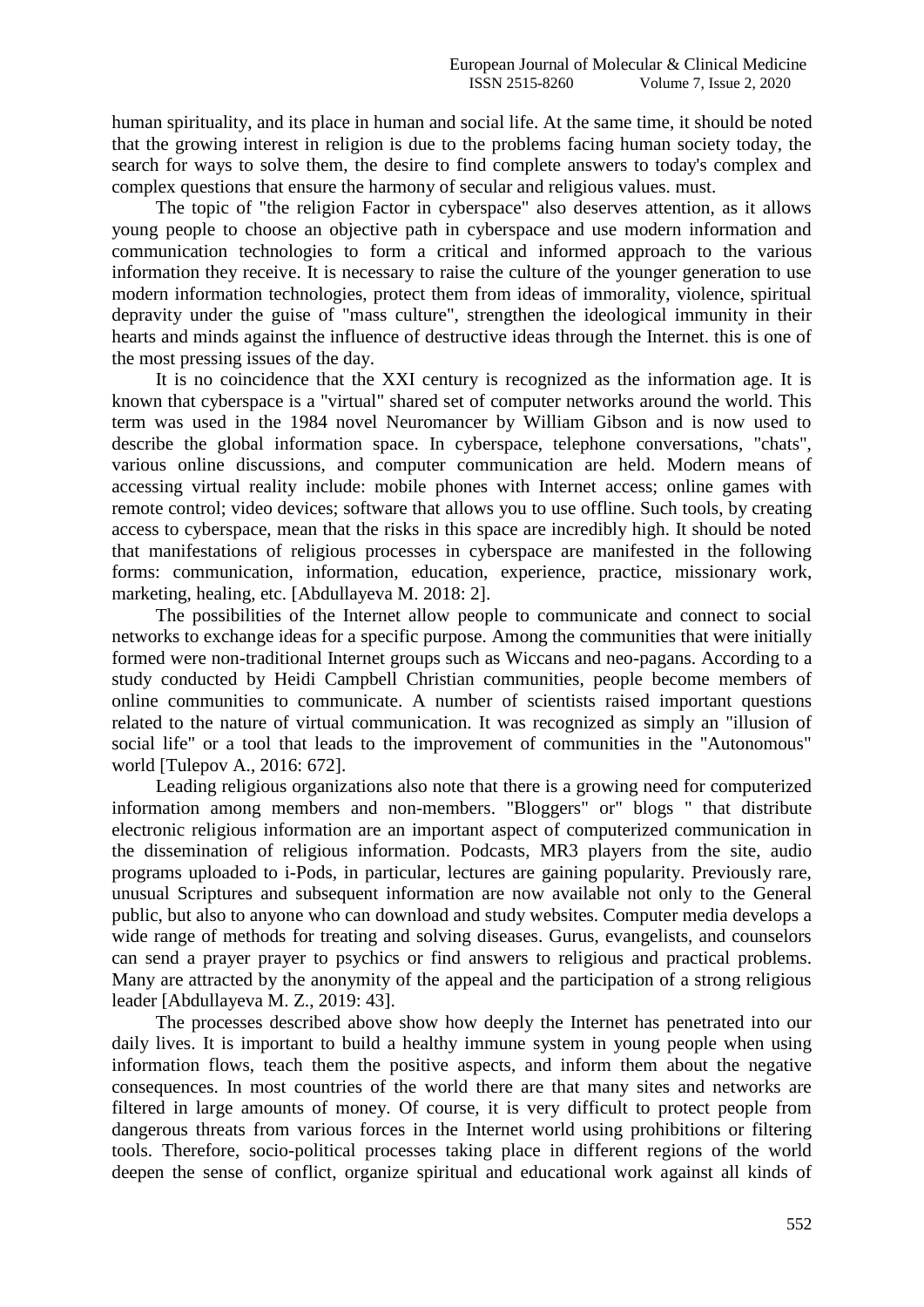human spirituality, and its place in human and social life. At the same time, it should be noted that the growing interest in religion is due to the problems facing human society today, the search for ways to solve them, the desire to find complete answers to today's complex and complex questions that ensure the harmony of secular and religious values. must.

The topic of "the religion Factor in cyberspace" also deserves attention, as it allows young people to choose an objective path in cyberspace and use modern information and communication technologies to form a critical and informed approach to the various information they receive. It is necessary to raise the culture of the younger generation to use modern information technologies, protect them from ideas of immorality, violence, spiritual depravity under the guise of "mass culture", strengthen the ideological immunity in their hearts and minds against the influence of destructive ideas through the Internet. this is one of the most pressing issues of the day.

It is no coincidence that the XXI century is recognized as the information age. It is known that cyberspace is a "virtual" shared set of computer networks around the world. This term was used in the 1984 novel Neuromancer by William Gibson and is now used to describe the global information space. In cyberspace, telephone conversations, "chats", various online discussions, and computer communication are held. Modern means of accessing virtual reality include: mobile phones with Internet access; online games with remote control; video devices; software that allows you to use offline. Such tools, by creating access to cyberspace, mean that the risks in this space are incredibly high. It should be noted that manifestations of religious processes in cyberspace are manifested in the following forms: communication, information, education, experience, practice, missionary work, marketing, healing, etc. [Abdullayeva M. 2018: 2].

The possibilities of the Internet allow people to communicate and connect to social networks to exchange ideas for a specific purpose. Among the communities that were initially formed were non-traditional Internet groups such as Wiccans and neo-pagans. According to a study conducted by Heidi Campbell Christian communities, people become members of online communities to communicate. A number of scientists raised important questions related to the nature of virtual communication. It was recognized as simply an "illusion of social life" or a tool that leads to the improvement of communities in the "Autonomous" world [Tulepov A., 2016: 672].

Leading religious organizations also note that there is a growing need for computerized information among members and non-members. "Bloggers" or" blogs " that distribute electronic religious information are an important aspect of computerized communication in the dissemination of religious information. Podcasts, MR3 players from the site, audio programs uploaded to i-Pods, in particular, lectures are gaining popularity. Previously rare, unusual Scriptures and subsequent information are now available not only to the General public, but also to anyone who can download and study websites. Computer media develops a wide range of methods for treating and solving diseases. Gurus, evangelists, and counselors can send a prayer prayer to psychics or find answers to religious and practical problems. Many are attracted by the anonymity of the appeal and the participation of a strong religious leader [Abdullayeva M. Z., 2019: 43].

The processes described above show how deeply the Internet has penetrated into our daily lives. It is important to build a healthy immune system in young people when using information flows, teach them the positive aspects, and inform them about the negative consequences. In most countries of the world there are that many sites and networks are filtered in large amounts of money. Of course, it is very difficult to protect people from dangerous threats from various forces in the Internet world using prohibitions or filtering tools. Therefore, socio-political processes taking place in different regions of the world deepen the sense of conflict, organize spiritual and educational work against all kinds of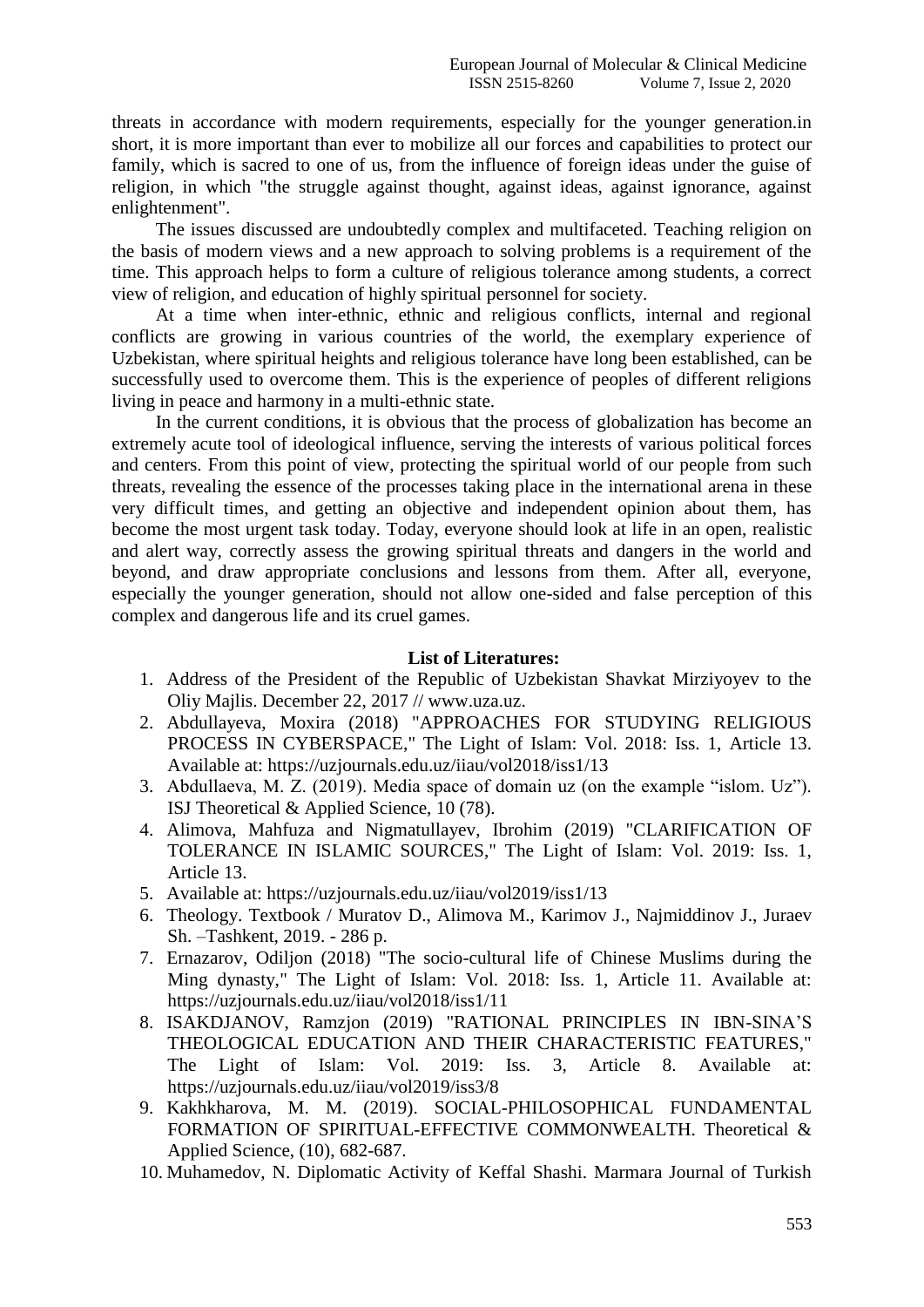threats in accordance with modern requirements, especially for the younger generation.in short, it is more important than ever to mobilize all our forces and capabilities to protect our family, which is sacred to one of us, from the influence of foreign ideas under the guise of religion, in which "the struggle against thought, against ideas, against ignorance, against enlightenment".

The issues discussed are undoubtedly complex and multifaceted. Teaching religion on the basis of modern views and a new approach to solving problems is a requirement of the time. This approach helps to form a culture of religious tolerance among students, a correct view of religion, and education of highly spiritual personnel for society.

At a time when inter-ethnic, ethnic and religious conflicts, internal and regional conflicts are growing in various countries of the world, the exemplary experience of Uzbekistan, where spiritual heights and religious tolerance have long been established, can be successfully used to overcome them. This is the experience of peoples of different religions living in peace and harmony in a multi-ethnic state.

In the current conditions, it is obvious that the process of globalization has become an extremely acute tool of ideological influence, serving the interests of various political forces and centers. From this point of view, protecting the spiritual world of our people from such threats, revealing the essence of the processes taking place in the international arena in these very difficult times, and getting an objective and independent opinion about them, has become the most urgent task today. Today, everyone should look at life in an open, realistic and alert way, correctly assess the growing spiritual threats and dangers in the world and beyond, and draw appropriate conclusions and lessons from them. After all, everyone, especially the younger generation, should not allow one-sided and false perception of this complex and dangerous life and its cruel games.

## **List of Literatures:**

- 1. Address of the President of the Republic of Uzbekistan Shavkat Mirziyoyev to the Oliy Majlis. December 22, 2017 // www.uza.uz.
- 2. Abdullayeva, Moxira (2018) "APPROACHES FOR STUDYING RELIGIOUS PROCESS IN CYBERSPACE," The Light of Islam: Vol. 2018: Iss. 1, Article 13. Available at: https://uzjournals.edu.uz/iiau/vol2018/iss1/13
- 3. Abdullaeva, M. Z. (2019). Media space of domain uz (on the example "islom. Uz"). ISJ Theoretical & Applied Science, 10 (78).
- 4. Alimova, Mahfuza and Nigmatullayev, Ibrohim (2019) "CLARIFICATION OF TOLERANCE IN ISLAMIC SOURCES," The Light of Islam: Vol. 2019: Iss. 1, Article 13.
- 5. Available at: https://uzjournals.edu.uz/iiau/vol2019/iss1/13
- 6. Theology. Textbook / Muratov D., Alimova M., Karimov J., Najmiddinov J., Juraev Sh. –Tashkent, 2019. - 286 p.
- 7. Ernazarov, Odiljon (2018) "The socio-cultural life of Chinese Muslims during the Ming dynasty," The Light of Islam: Vol. 2018: Iss. 1, Article 11. Available at: https://uzjournals.edu.uz/iiau/vol2018/iss1/11
- 8. ISAKDJANOV, Ramzjon (2019) "RATIONAL PRINCIPLES IN IBN-SINA'S THEOLOGICAL EDUCATION AND THEIR CHARACTERISTIC FEATURES," The Light of Islam: Vol. 2019: Iss. 3, Article 8. Available at: https://uzjournals.edu.uz/iiau/vol2019/iss3/8
- 9. Kakhkharova, M. M. (2019). SOCIAL-PHILOSOPHICAL FUNDAMENTAL FORMATION OF SPIRITUAL-EFFECTIVE COMMONWEALTH. Theoretical & Applied Science, (10), 682-687.
- 10. Muhamedov, N. Diplomatic Activity of Keffal Shashi. Marmara Journal of Turkish